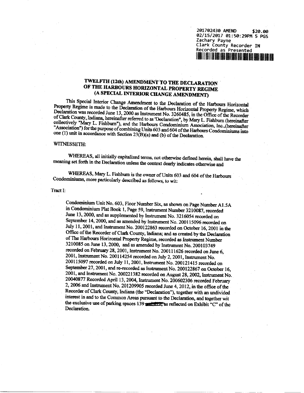| 201702430 AMEND<br>\$20.00                    |  |
|-----------------------------------------------|--|
| 02/15/2017 01:50:29PM 5 PGS                   |  |
| Zachary Payne                                 |  |
| Clark County Recorder IN                      |  |
| Recorded as Presented                         |  |
| <b>IN THE THE ISLE IS THE USE OF A LICENS</b> |  |

# **TWELFTH (12th) AMENDMENT TO THE DECLARATION OF THE HARBOURS HORIZONTAL PROPERTY REGIME (A SPECIAL INTERIOR CHANGE AMENDMENT)**

This Special Interior Change Amendment to *ike* Declaration of the Harbours Horizontal Property Regime is made to the Declaration of the Harbours Horizontal Property Regime, which Declaration was recorded June 13,2000 as Instrument No. 3260485, in the Office of the Recorder of Clark County, Indiana, hereinafter referred to as 'Declaration", by Mary L. Fishburn (hereinafter collectively "Mary L. Fishburn"), and the Harbours Condominium Association, Inc.,(hereinafter "Association") for the purpose of combining Units 603 and 604 ofthe Harbours Condominiums into one (1) unit in accordance with Section  $23(B)(a)$  and (b) of the Declaration.

#### WTTNESSETH:

WHEREAS, all initially capitalized terms, not otherwise defined herein, shall have the meaning set forth in the Declaration unless the context dearly indicates otherwise and

WHEREAS, Mary L. Fishburn is the owner of Units 603 and 604 of the Harbours Condominiums, more particularly described as follows, to wit:

### Tract I:

Condominium Unit No. 603, Floor Number Six, as shown on Page Number A1*.5 A* in Condominium Plat Book 1, Page 59, Instrument Number 3210087, recorded June 13,2000, and as supplemented by Instrument No. 3216054 recorded on September 14,2000, and as amended by Instrument No. 200115096 recorded on July 11,2001, and Instrument No. 200122863 recorded on October 16,2001 in the Office of the Recorder of Clark County, Indiana; and as created by the Declaration of The Harbours Horizontal Property Regime, recorded as Instrument Number 3210085 on June 13,2000, and as amended by Instrument No. 200103749 recorded on February 28,2001, Instrument No. 200111626 recorded on June 6, 2001, Instrument No. 200114254 recorded on July 2,2001, Instrument No. 200115097 recorded on July 11,2001, Instrument No. 200121415 recorded on September 27,2001, and re-recorded as Instrument No. 200122867 on October 16, 2001, and Instrument No. 200221382 recorded on August 28,2002, Instrument No. 20040877 Recorded April 13,2004, Instrument No. 200602306 recorded February 2,2006 and Instrument No. 201209905 recorded June 4,2012, in the office of the Recorder of Clark County, Indiana (the "Declaration"), together with an undivided interest in and to the Common Areas pursuant to the Declaration, and together wit the exclusive use of parking spaces 139 unitalize, as reflected on Exhibit "C" of the Declaration.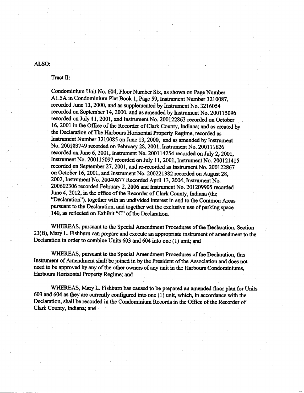## ALSO:

Tract II:

Condominium Unit No. 604, Floor Number Six, as shown on Page Number A1.5A in Condominium Plat Book 1, Page 59, Instrument Number 3210087, recorded June 13, 2000, and as supplemented by Instrument No. 3216054 recorded on September 14, 2000, and as amended by Instrument No. 200115096 recorded on July 11, 2001, and Instrument No. 200122863 recorded on October 16, 2001 in the Office of the Recorder of Clark County, Indiana; and as created by the Declaration of The Harbours Horizontal Property Regime, recorded as Instrument Number 3210085 on June 13, 2000, and as amended by Instrument No. 200103749 recorded on February 28, 2001, Instrument No. 200111626 recorded on June 6, 2001, Instrument No. 200114254 recorded on July 2, 2001, Instrument No. 200115097 recorded on July 11, 2001, Instrument No. 200121415 recorded on September 27, 2001, and re-recorded as Instrument No. 200122867 on October 16, 2001, and Instrument No. 200221382 recorded on August 28, 2002, Instrument No. 20040877 Recorded April 13, 2004, Instrument No. 200602306 recorded February 2, 2006 and Instrument No. 201209905 recorded June 4, 2012, in the office of the Recorder of Clark County, Indiana (the "Declaration"), together with an undivided interest in and to the Common Areas pursuant to the Declaration, and together wit the exclusive use of parking space 140, as reflected on Exhibit "C" of the Declaration.

WHEREAS, pursuant to the Special Amendment Procedures of the Declaration, Section 23(B), Mary L. Fishburn can prepare and execute an appropriate instrument of amendment to the Declaration in order to combine Units 603 and 604 into one (1) unit; and

WHEREAS, pursuant to the Special Amendment Procedures of the Declaration, this Instrument of Amendment shall be joined in by the President of the Association and does not need to be approved by any of the other owners of any unit in the Harbours Condominiums, Harbours Horizontal Property Regime; and

WHEREAS, Mary L. Fishburn has caused to be prepared an amended floor plan for Units 603 and 604 as they are currently configured into one (1) unit, which, in accordance with the Declaration, shall be recorded in the Condominium Records in the Office of the Recorder of Clark County, Indiana; and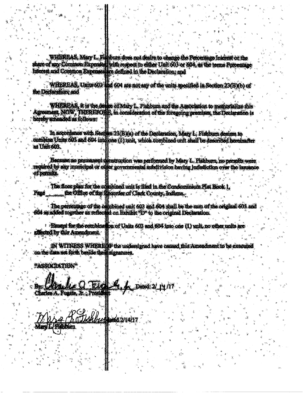WHEREAS, Mary L. Fishburn does not desire to change the Percentage Interest or the<br>share of any Common Expenses with respect to either Unit 603 or 604, as the terms Porcentage<br>Interest and Common Expenses fre doffned in th

WHEREAS, Units 603 hd 604 are not any of the units specified in Section 23(B)(b) of the Declaration and

WHEREAS, it is the desire of Mary L. Fishburn and the Association to memorialize this Agreement NOW, THEREBORE, in consideration of the foregoing premises, the Declaration is hereby amended as follows:

In accordance with Section 23(B)(a) of the Declaration, Mary L. Fishburn decime to<br>combine Units 603 and 804 integrons (1) anit, which combined unit shall be described hereinafter as Unit 603.

Because no permanent construction was performed by Mary L. Pishburn, no permits were<br>required by any muricinal or other governmental subdivision having jurisdiction over the issuance of permits.

The floor plan for the combined unit is filed in the Condominium Plat Book 1.<br>the Office of the Records of Clark County, Indiana. **Pare** 

The percentage of the combined unit 603 and 604 shall be the sum of the original 603 and<br>604 as added together as reflected on Exhibit TD\* to the original Declaration.

<sup>2</sup> Honord for the combination of Units 603 and 604 into one (1) unit, no other units are affected by this Amendment.

DI WITNESS WHERE IT's the undersigned have caused fits Amendment to be execute<br>on the date set forth buside their signatures.

ASSOCIATION®

Dated: 2/ 14

Charles A. Fugate, It. Presid

**Kithburn**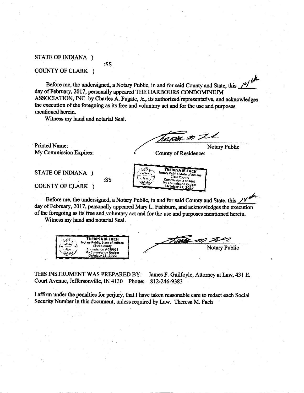## STATE OF INDIANA )

### COUNTY OF CLARK )

Before me, the undersigned, a Notary Public, in and for said County and State, this 14 day of February, 2017, personally appeared THE HARBOURS CONDOMINIUM ASSOCIATION, INC. by Charles A. Fugate, Jr., its authorized representative, and acknowledges the execution of the foregoing as its free and voluntary act and for the use and purposes mentioned herein.

Witness my hand and notarial Seal.

:SS

:SS

**Printed Name:** My Commission Expires:

cover in the **Notary Public** 

**County of Residence:** 

THERESA M FACH

Notary Public, State of Indiana **Clark County** 

Commission # 659661<br>My Commission Expires<br>October 23, 2022

STATE OF INDIANA )

COUNTY OF CLARK )

Before me, the undersigned, a Notary Public, in and for said County and State, this /4 day of February, 2017, personally appeared Mary L. Fishburn, and acknowledges the execution of the foregoing as its free and voluntary act and for the use and purposes mentioned herein.

SMOS.  $15.$ 

 $S_{\text{FAL}}$ 

**Beaching** 

Witness my hand and notarial Seal.

THERESA M FACH Notary Public, State of Indiana got sav **Clark County** SEAL Commission # 659661 My Commission Expires<br>Catober 23, 2022 **MOIANT.** 

Track on **Notary Public** 

THIS INSTRUMENT WAS PREPARED BY: James F. Guilfoyle, Attorney at Law, 431 E. Court Avenue, Jeffersonville, IN 4130 Phone: 812-246-9383

I affirm under the penalties for perjury, that I have taken reasonable care to redact each Social Security Number in this document, unless required by Law. Theresa M. Fach